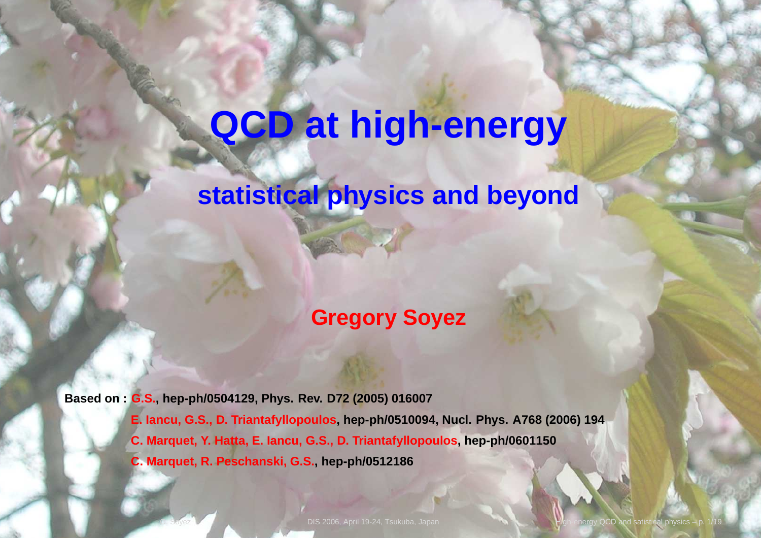# **QCD at high-energy**

### **statistical physics and beyond**

#### **Gregory Soyez**

**Based on : G.S., hep-ph/0504129, Phys. Rev. D72 (2005) <sup>016007</sup>**E. lancu, G.S., D. Triantafyllopoulos, hep-ph/0510094, Nucl. Phys. A768 (2006) 194 **C. Marquet, Y. Hatta, E. Iancu, G.S., D. Triantafyllopoulos, hep-ph/0601150C. Marquet, R. Peschanski, G.S., hep-ph/0512186**

DIS 2006, April 19-24, Tsukuba, Japan High-energy QCD and satistical physics –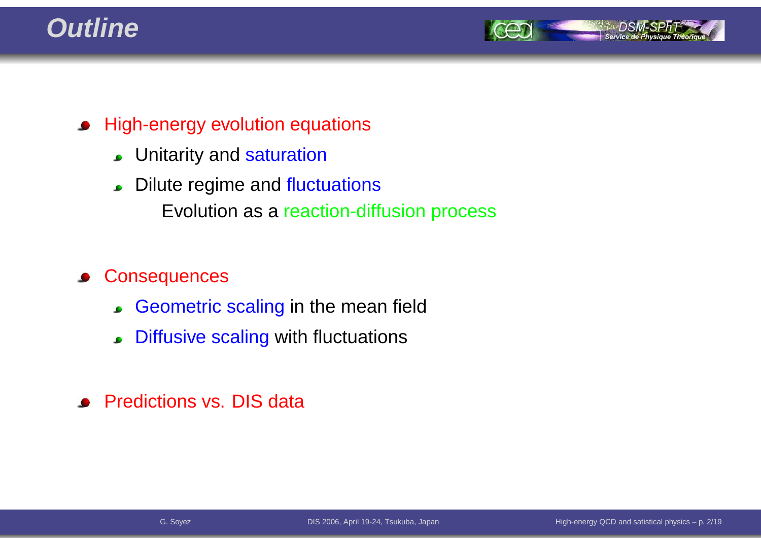### **Outline**



- **•** High-energy evolution equations
	- Unitarity and <mark>saturation</mark>
	- Dilute regime and fluctuations Evolution as <sup>a</sup> reaction-diffusion process

#### **Consequences**  $\bullet$

- Geometric scaling in the mean field
- Diffusive scaling with fluctuations  $\bullet$
- **•** Predictions vs. DIS data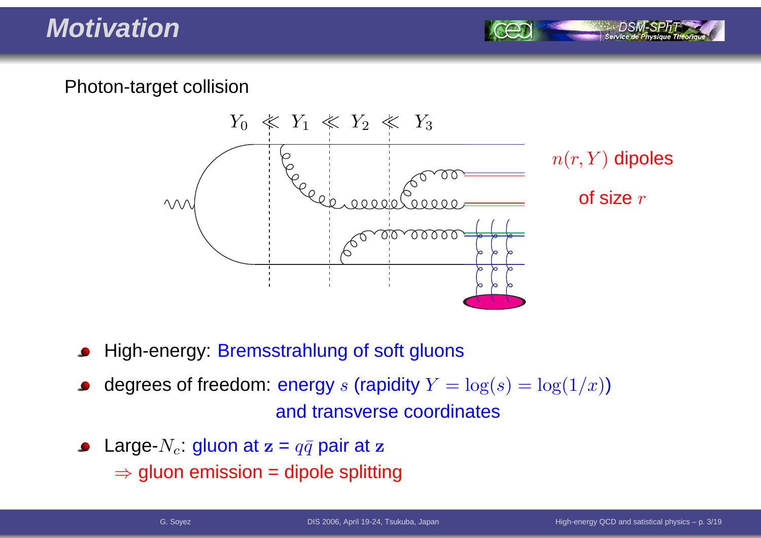### **Motivation**

#### Photon-target collision



- High-energy: Bremsstrahlung of soft gluons
- degrees of freedom: energy  $s$  (rapidity  $Y = \log(s) = \log(1/x)$ ) and transverse coordinates
- Large- $N_c$ : gluon at  $\mathbf{z}=q\bar{q}$  pair at  $\mathbf{z}$  $\Rightarrow$  gluon emission = dipole splitting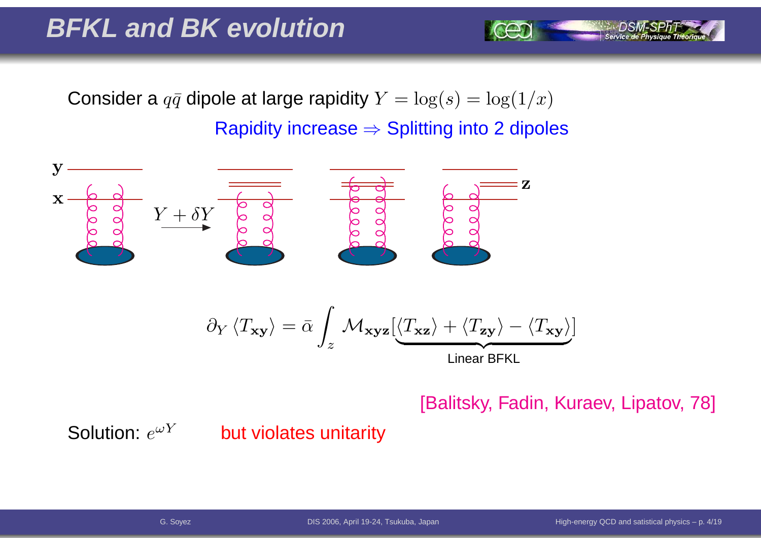### **BFKL and BK evolution**

Consider a  $q\bar{q}$  dipole at large rapidity  $Y = \log(s) = \log(1/x)$ Rapidity increase  $\Rightarrow$  Splitting into 2 dipoles



Linear BFKL

[Balitsky, Fadin, Kuraev, Lipatov, 78]

]

Solution:  $e^{\omega Y}$ 

#### but violates unitarity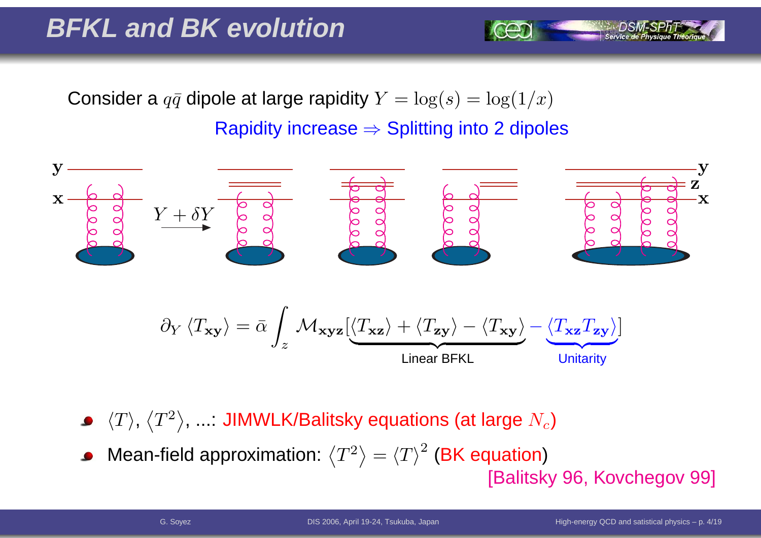### **BFKL and BK evolution**

Consider a  $q\bar{q}$  dipole at large rapidity  $Y = \log(s) = \log(1/x)$ 

## Rapidity increase  $\Rightarrow$  Splitting into 2 dipoles



- $\langle T\rangle,\,\big\langle$  $\langle T^2$  $^2\rangle$ , ...: JIMWLK/Balitsky equations (at large  $N_c)$
- Mean-field approximation:  $\langle$  $\langle T^2$  $^2\rangle$  $=\left\langle T\right\rangle ^{2}$  $\textdegree$  (BK equation) [Balitsky 96, Kovchegov 99]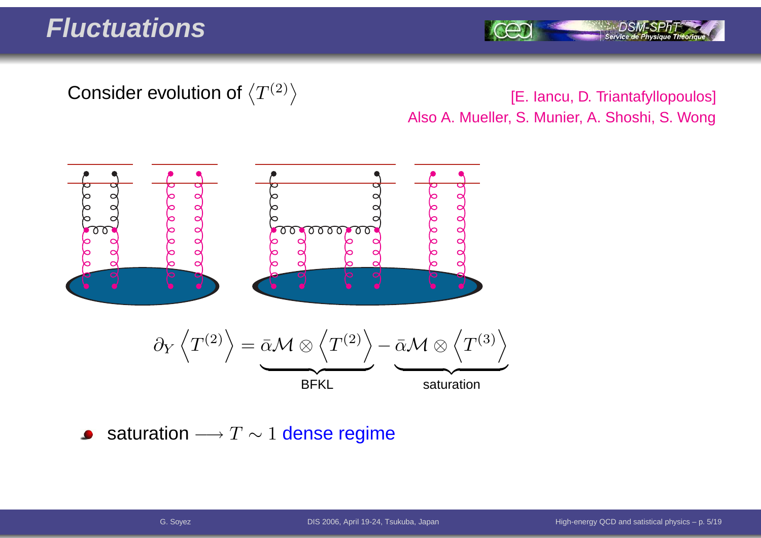#### **Fluctuations**

Service de Ph

#### Consider evolution of  $\left\langle T^{(2)}\right\rangle$

[E. lancu, D. Triantafyllopoulos] Also A. Mueller, S. Munier, A. Shoshi, S. Wong



saturation  $\longrightarrow T \sim 1$  dense regime  $\bullet$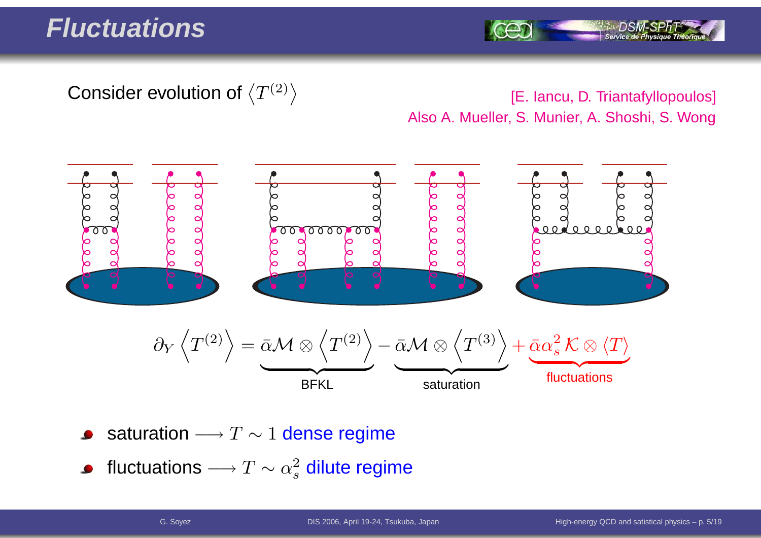Service de Ph

#### Consider evolution of  $\left\langle T^{(2)}\right\rangle$

[E. Iancu, D. Triantafyllopoulos] Also A. Mueller, S. Munier, A. Shoshi, S. Wong



- saturation  $\longrightarrow T \sim 1$  dense regime
- fluctuations  $\longrightarrow$  $\rightarrow T \sim \alpha_s^2$  dilute regime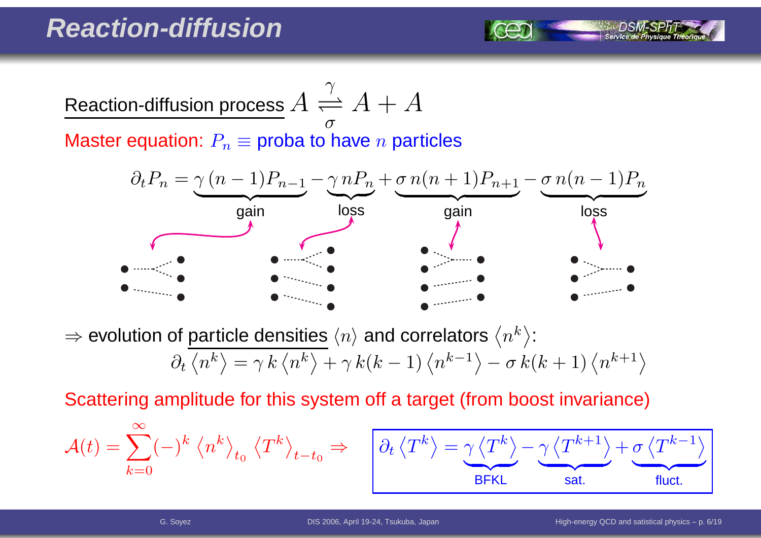

Master equation:  $P_n\equiv$  proba to have  $n$  particles



⇒ evolution of particle densities  $\langle n \rangle$  and correlators  $\langle n^k \rangle$ :

$$
\partial_t \left\langle n^k \right\rangle = \gamma k \left\langle n^k \right\rangle + \gamma k(k-1) \left\langle n^{k-1} \right\rangle - \sigma k(k+1) \left\langle n^{k+1} \right\rangle
$$

Scattering amplitude for this system off <sup>a</sup> target (from boost invariance)

$$
\mathcal{A}(t) = \sum_{k=0}^{\infty} (-)^k \left\langle n^k \right\rangle_{t_0} \left\langle T^k \right\rangle_{t-t_0} \Rightarrow \quad \boxed{\partial_t \left\langle n \right\rangle_{t-t_0}}
$$

$$
\boxed{\partial_t \left\langle T^k \right\rangle = \underbrace{\gamma \left\langle T^k \right\rangle}_{\text{BFKL}} - \underbrace{\gamma \left\langle T^{k+1} \right\rangle}_{\text{sat.}} + \underbrace{\sigma \left\langle T^{k-1} \right\rangle}_{\text{fluct.}}}
$$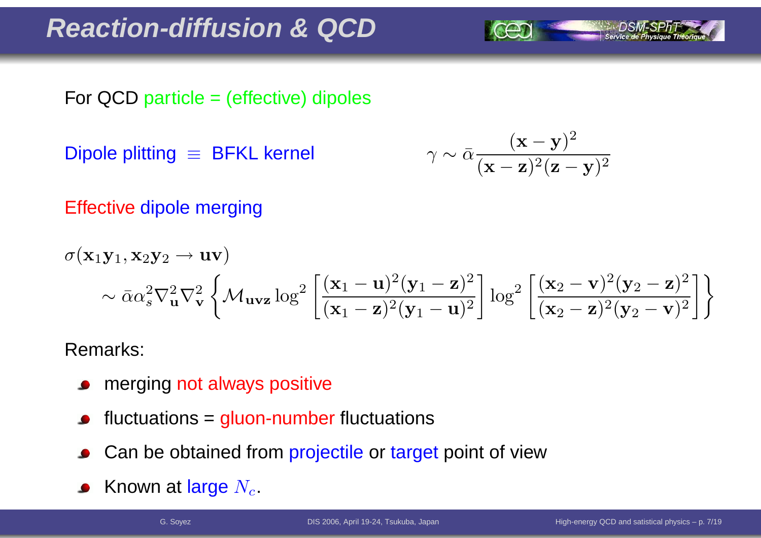### **Reaction-diffusion & QCD**

For QCD particle <sup>=</sup> (effective) dipoles

Dipole plitting ≡ BFKL kernel

$$
\gamma \sim \bar{\alpha} \frac{(\mathbf{x} - \mathbf{y})^2}{(\mathbf{x} - \mathbf{z})^2 (\mathbf{z} - \mathbf{y})^2}
$$

Effective dipole merging

$$
\sigma(\mathbf{x}_1\mathbf{y}_1, \mathbf{x}_2\mathbf{y}_2 \to \mathbf{u}\mathbf{v})
$$
  
 
$$
\sim \bar{\alpha}\alpha_s^2 \nabla_{\mathbf{u}}^2 \nabla_{\mathbf{v}}^2 \left\{ \mathcal{M}_{\mathbf{u}\mathbf{v}\mathbf{z}} \log^2 \left[ \frac{(\mathbf{x}_1 - \mathbf{u})^2 (\mathbf{y}_1 - \mathbf{z})^2}{(\mathbf{x}_1 - \mathbf{z})^2 (\mathbf{y}_1 - \mathbf{u})^2} \right] \log^2 \left[ \frac{(\mathbf{x}_2 - \mathbf{v})^2 (\mathbf{y}_2 - \mathbf{z})^2}{(\mathbf{x}_2 - \mathbf{z})^2 (\mathbf{y}_2 - \mathbf{v})^2} \right] \right\}
$$

Remarks:

- merging not always positive  $\bullet$
- fluctuations <sup>=</sup> gluon-number fluctuations
- Can be obtained from projectile or target point of view
- Known at large  $N_c$ .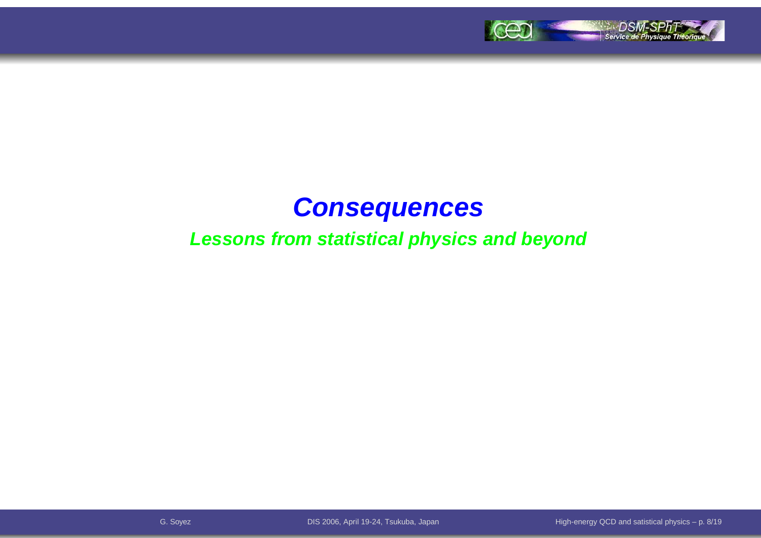

### **Consequences**

#### **Lessons from statistical physics and beyond**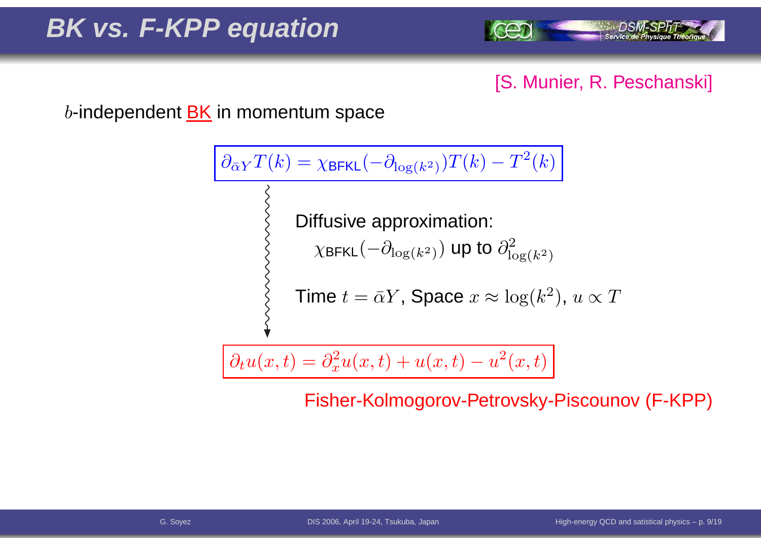

#### [S. Munier, R. Peschanski]

 $b$ -independent  $\underline{\mathsf{BK}}$  in momentum space

$$
\frac{\partial_{\bar{\alpha}Y}T(k) = \chi_{\text{BFKL}}(-\partial_{\log(k^2)})T(k) - T^2(k)}{\left\{\n\begin{array}{l}\n\text{Diffusive approximation:} \\
\chi_{\text{BFKL}}(-\partial_{\log(k^2)}) \text{ up to } \partial_{\log(k^2)}^2\n\end{array}\n\right\}}
$$
\n
$$
\text{Time } t = \bar{\alpha}Y, \text{ Space } x \approx \log(k^2), u \propto T
$$

$$
\partial_t u(x,t) = \partial_x^2 u(x,t) + u(x,t) - u^2(x,t)
$$

Fisher-Kolmogorov-Petrovsky-Piscounov (F-KPP)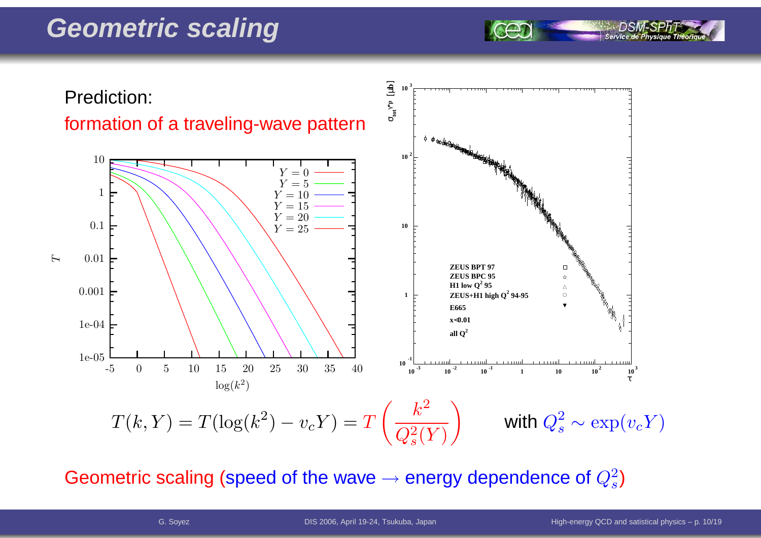### **Geometric scaling**



#### Geometric scaling (speed of the wave  $\rightarrow$  $\rightarrow$  energy dependence of  $Q_s^2$ )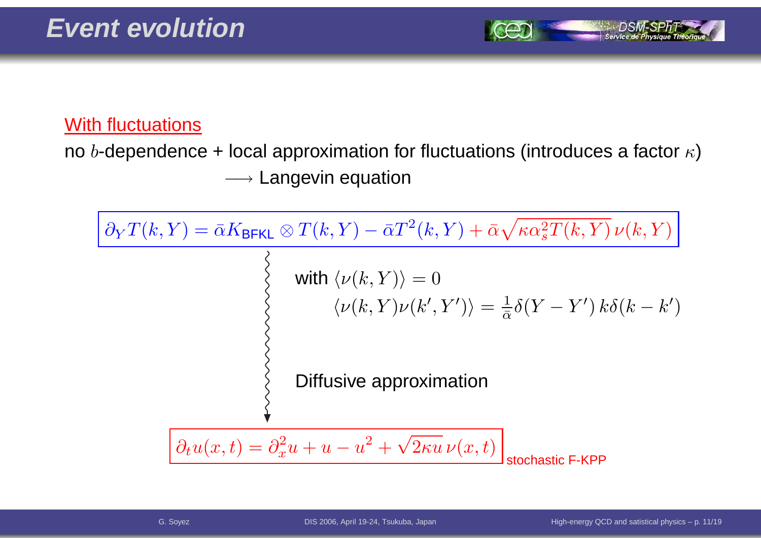

#### With fluctuations

no  $b$ -dependence + local approximation for fluctuations (introduces a factor  $\kappa$ )  $\longrightarrow$  Langevin equation

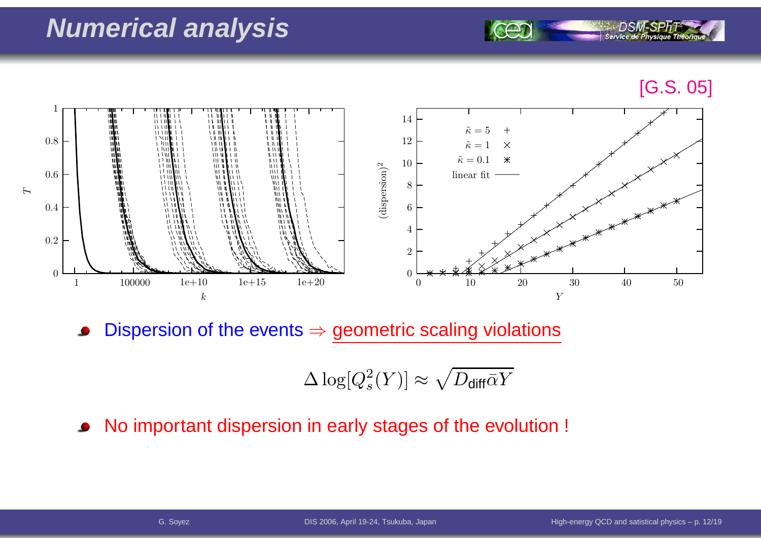### **Numerical analysis**

#### [G.S. 05]



Dispersion of the events  $\Rightarrow$  geometric scaling violations

$$
\Delta \log [Q_s^2(Y)] \approx \sqrt{D_{\text{diff}}\bar{\alpha}Y}
$$

No important dispersion in early stages of the evolution !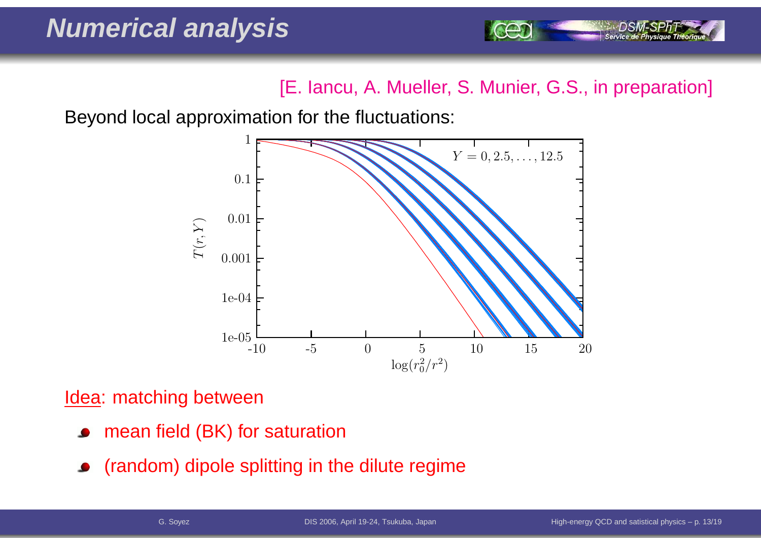[E. Iancu, A. Mueller, S. Munier, G.S., in preparation]

Beyond local approximation for the fluctuations:



Idea: matching between

- mean field (BK) for saturation
- (random) dipole splitting in the dilute regime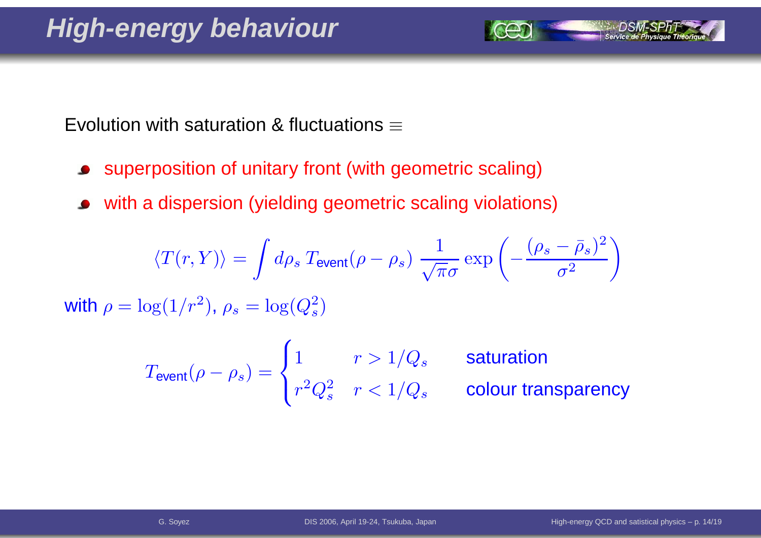Evolution with saturation & fluctuations  $\equiv$ 

- superposition of unitary front (with geometric scaling) $\bullet$
- with <sup>a</sup> dispersion (yielding geometric scaling violations) $\bullet$

$$
\langle T(r, Y) \rangle = \int d\rho_s \, T_{\text{event}}(\rho - \rho_s) \, \frac{1}{\sqrt{\pi} \sigma} \exp\left(-\frac{(\rho_s - \bar{\rho}_s)^2}{\sigma^2}\right)
$$

with  $\rho = \log(1/r^2)$  $^2$ ),  $\rho_s=\log(Q_s^2)$  $\left( \frac{2}{s}\right)$ 

$$
T_{\text{event}}(\rho - \rho_s) = \begin{cases} 1 & r > 1/Q_s \\ r^2 Q_s^2 & r < 1/Q_s \end{cases} \quad \text{solution} \quad \text{column} \quad \text{column} \quad \text{column} \quad \text{column} \quad \text{column} \quad \text{column} \quad \text{column} \quad \text{column} \quad \text{normal} \quad \text{column} \quad \text{normal} \quad \text{column} \quad \text{normal} \quad \text{column} \quad \text{normal} \quad \text{column} \quad \text{normal} \quad \text{normal} \quad \text{normal} \quad \text{normal} \quad \text{normal} \quad \text{normal} \quad \text{normal} \quad \text{normal} \quad \text{normal} \quad \text{normal} \quad \text{normal} \quad \text{normal} \quad \text{normal} \quad \text{normal} \quad \text{normal} \quad \text{normal} \quad \text{normal} \quad \text{normal} \quad \text{normal} \quad \text{normal} \quad \text{normal} \quad \text{normal} \quad \text{normal} \quad \text{normal} \quad \text{normal} \quad \text{normal} \quad \text{normal} \quad \text{normal} \quad \text{normal} \quad \text{normal} \quad \text{normal} \quad \text{normal} \quad \text{normal} \quad \text{normal} \quad \text{normal} \quad \text{normal} \quad \text{normal} \quad \text{normal} \quad \text{normal} \quad \text{normal} \quad \text{normal} \quad \text{normal} \quad \text{normal} \quad \text{normal} \quad \text{normal} \quad \text{normal} \quad \text{normal} \quad \text{normal} \quad \text{normal} \quad \text{normal} \quad \text{normal} \quad \text{normal} \quad \text{normal} \quad \text{normal} \quad \text{normal} \quad \text{normal} \quad \text{normal} \quad \text{normal} \quad \text{normal} \quad \text{normal} \quad \text{normal} \quad \text{normal} \quad \text{normal} \quad \text{normal} \quad \text{normal} \quad \text{normal} \quad \text{normal} \quad \text{normal} \quad \text{normal} \quad \text{normal} \quad \text{normal} \quad \text{normal} \quad \text{normal} \quad \text{normal} \quad \text{normal} \quad \text{normal} \quad \text{normal} \quad \text{normal} \quad \text{normal} \quad \text{normal} \quad \text{normal} \quad \text{normal} \quad \text{normal} \quad
$$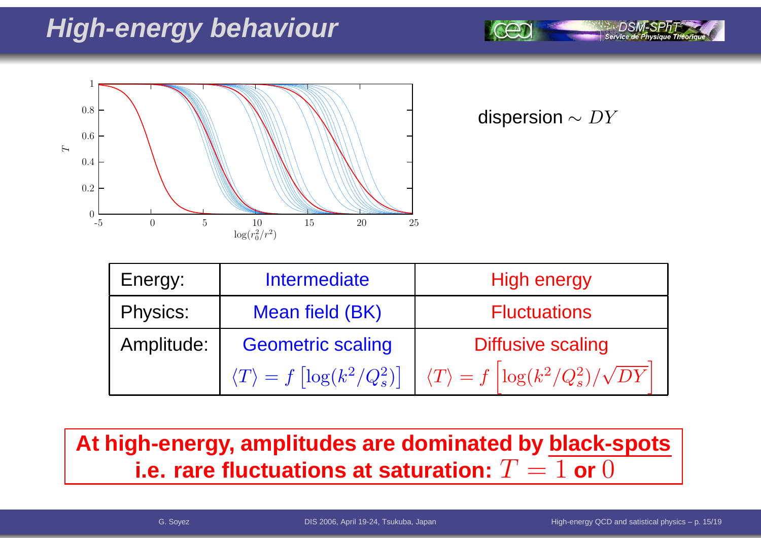## **High-energy behaviour**



dispersion  $\sim DY$ 

| Energy:         | <b>Intermediate</b>                                    | <b>High energy</b>                                               |  |  |
|-----------------|--------------------------------------------------------|------------------------------------------------------------------|--|--|
| <b>Physics:</b> | Mean field (BK)                                        | <b>Fluctuations</b>                                              |  |  |
| Amplitude:      | <b>Geometric scaling</b>                               | <b>Diffusive scaling</b>                                         |  |  |
|                 | $\langle T \rangle = f \left[ \log(k^2/Q_s^2) \right]$ | $\langle T \rangle = f \left[ \log(k^2/Q_s^2)/\sqrt{DY} \right]$ |  |  |

## **At high-energy, amplitudes are dominated by black-spots i.e. rare fluctuations at saturation:**  $T = 1$  or  $0$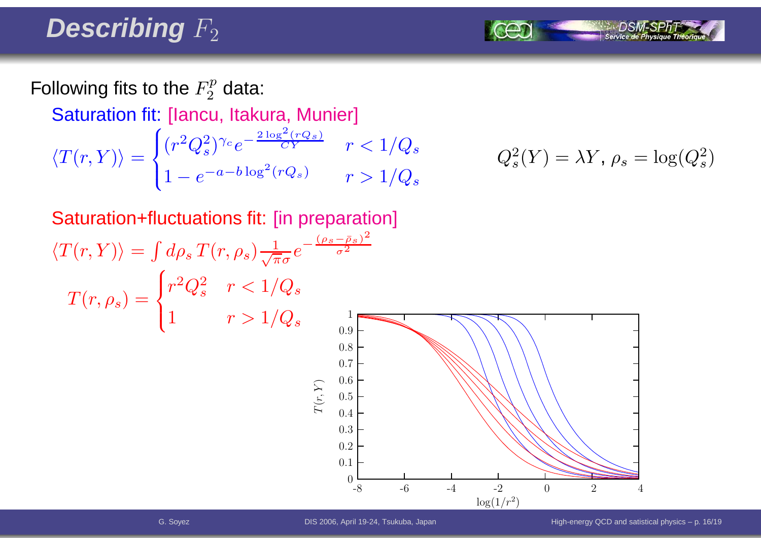## Describing  $F_2$

Following fits to the  $F_2^p$  data:

Saturation fit: [Iancu, Itakura, Munier]

$$
\langle T(r,Y) \rangle = \begin{cases} (r^2 Q_s^2)^{\gamma_c} e^{-\frac{2 \log^2 (r Q_s)}{CY}} & r < 1/Q_s \\ 1 - e^{-a - b \log^2 (r Q_s)} & r > 1/Q_s \end{cases} \qquad Q_s^2(Y) = \lambda Y, \ \rho_s = \log(Q_s^2)
$$

$$
Q_s^2(Y) = \lambda Y, \, \rho_s = \log(Q_s^2)
$$

Saturation+fluctuations fit: [in preparation]  $\langle T(r, Y) \rangle = \int d\rho_s \, T(r, \rho_s) \frac{1}{\sqrt{\pi}\sigma} e^{-\frac{(\rho_s - \bar{\rho}_s)^2}{\sigma^2}}$  $T(r,\rho_s)=$  $\begin{cases} r^2Q_s^2 & r < 1/Q_s \ 1 & r > 1/Q_s \end{cases}$  $\log(1/r^2)$  $\mathcal{F}$  $(r, Y)$ -88 -6 -4 -2 0 2 4 10.90.80.70.60.50.40.3 0.20.10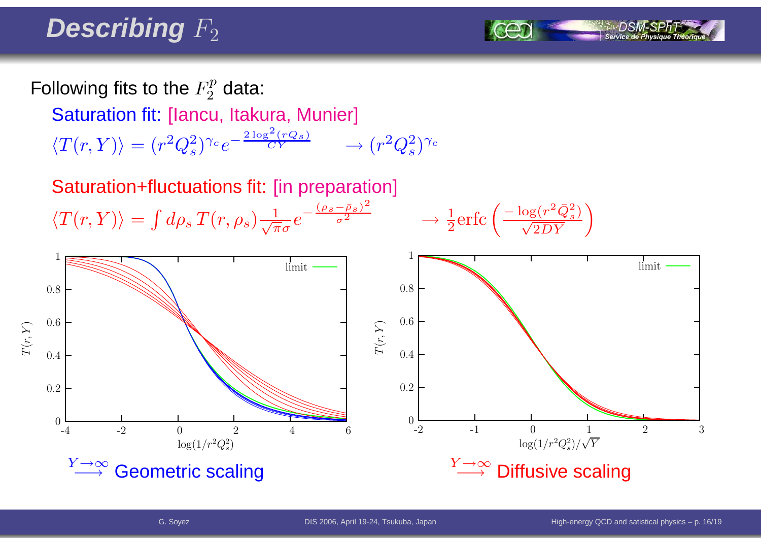## Describing  $F_2$

Following fits to the  $F_2^p$  data:

Saturation fit: [Iancu, Itakura, Munier]

- $\langle T(r, Y) \rangle = (r^2 Q_s^2)^{\gamma_c} e^{-\frac{2 \log^2 (r Q_s)}{CY}} \longrightarrow$  $\rightarrow (r^2Q_s^2)^{\gamma_c}$
- Saturation+fluctuations fit: [in preparation]  $\langle T(r, Y) \rangle = \int d\rho_s T(r, \rho_s) \frac{1}{\sqrt{\pi}\sigma} e^{-\frac{(\rho_s - \bar{\rho}_s)^2}{\sigma^2}} \longrightarrow$

$$
\rightarrow \frac{1}{2} \text{erfc}\left(\frac{-\log(r^2 \bar{Q}_s^2)}{\sqrt{2DY}}\right)
$$

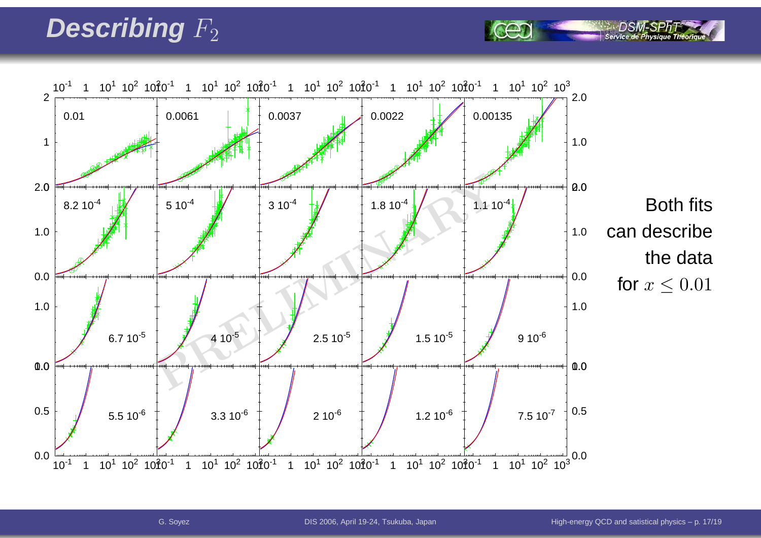## Describing  $F_2$

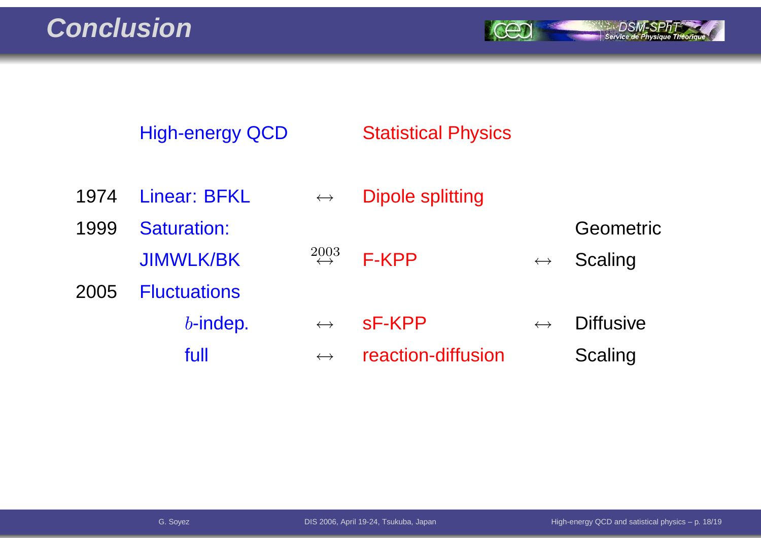**Conclusion**

*SEART SPRT*<br>Service de Physique Théorique

|      | <b>High-energy QCD</b>          |                                   | <b>Statistical Physics</b> |                       |                      |
|------|---------------------------------|-----------------------------------|----------------------------|-----------------------|----------------------|
| 1974 | Linear: BFKL                    | $\leftrightarrow$                 | <b>Dipole splitting</b>    |                       |                      |
| 1999 | Saturation:<br><b>JIMWLK/BK</b> | $\overset{2003}{\leftrightarrow}$ | <b>F-KPP</b>               | $\longleftrightarrow$ | Geometric<br>Scaling |
| 2005 | <b>Fluctuations</b>             |                                   |                            |                       |                      |
|      | $b$ -indep.                     | $\leftrightarrow$                 | sF-KPP                     | $\leftrightarrow$     | <b>Diffusive</b>     |
|      | full                            | $\leftrightarrow$                 | reaction-diffusion         |                       | Scaling              |